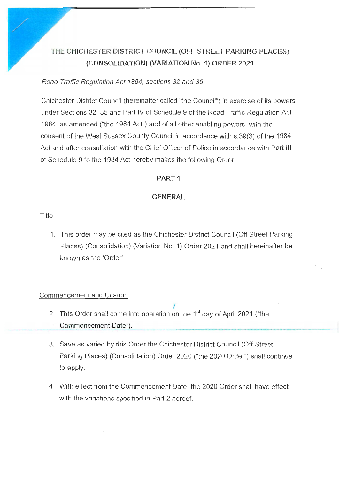# **THE CHICHESTER DISTRICT COUNCIL (OFF** STREET **PARKING PLACES) {CONSOLIDATION) (VARIATION No. 1) ORDER 2021**

Road Traffic Regulation Act 1984, sections 32 and 35

Chichester District Council (hereinafter called "the Council") in exercise of its powers under Sections 32 , 35 and Part IV of Schedule 9 of the Road Traffic Regulation Act 1984, as amended ("the 1984 Act") and of all other enabling powers, with the consent of the West Sussex County Council in accordance with s.39(3) of the 1984 Act and after consultation with the Chief Officer of Police in accordance with Part Ill of Schedule 9 to the 1984 Act hereby makes the following Order:

## **PART1**

## **GENERAL**

Title

1. This order may be cited as the Chichester District Council (Off Street Parking Places) (Consolidation) (Variation No. 1) Order 2021 and shall hereinafter be known as the 'Order'.

## Commencement and Citation

- I 2. This Order shall come into operation on the 1<sup>st</sup> day of April 2021 ("the Commencement Date").
- 3. Save as varied by this Order the Chichester District Council (Off-Street . ' Parking Places) (Consolidation) Order 2020 ("the 2020 Order") shall continue to apply.
- 4. With effect from the Commencement Date, the 2020 Order shall have effect with the variations specified in Part 2 hereof.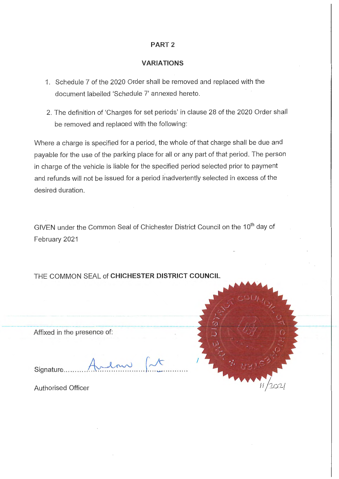## **PART2**

#### **VARIATIONS**

- 1. Schedule 7 of the 2020 Order shall be removed and replaced with the document labelled 'Schedule 7' annexed hereto.
- 2. The definition of 'Charges for set periods' in clause 28 of the 2020 Order shall be removed and replaced with the following:

Where a charge is specified for a period, the whole of that charge shall be due and payable for the use of the parking place for all or any part of that period. The person in charge of the vehicle is liable for the specified period selected prior to payment and refunds will not be issued for a period inadvertently selected in excess of the desired duration.

GIVEN under the Common Seal of Chichester District Council on the 10<sup>th</sup> day of February 2021

THE COMMON SEAL of **CHICHESTER DISTRICT COUNCIL** 

Affixed in the presence of:

Signature.

Authorised Officer

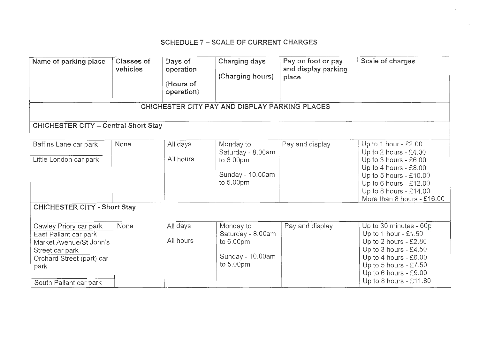## SCHEDULE 7 - SCALE OF CURRENT CHARGES

| Name of parking place                                                                                     | <b>Classes of</b><br>vehicles | Days of<br>operation<br>(Hours of<br>operation) | <b>Charging days</b><br>(Charging hours)       | Pay on foot or pay<br>and display parking<br>place | Scale of charges                                                                                                                                               |
|-----------------------------------------------------------------------------------------------------------|-------------------------------|-------------------------------------------------|------------------------------------------------|----------------------------------------------------|----------------------------------------------------------------------------------------------------------------------------------------------------------------|
|                                                                                                           |                               |                                                 | CHICHESTER CITY PAY AND DISPLAY PARKING PLACES |                                                    |                                                                                                                                                                |
| <b>CHICHESTER CITY - Central Short Stay</b>                                                               |                               |                                                 |                                                |                                                    |                                                                                                                                                                |
| Baffins Lane car park                                                                                     | None                          | All days                                        | Monday to<br>Saturday - 8.00am                 | Pay and display                                    | Up to 1 hour - $£2.00$<br>Up to 2 hours - £4.00                                                                                                                |
| Little London car park                                                                                    |                               | All hours                                       | to 6.00pm<br>Sunday - 10.00am<br>to 5.00pm     |                                                    | Up to 3 hours - £6.00<br>Up to 4 hours - £8.00<br>Up to 5 hours - $£10.00$<br>Up to 6 hours - $£12.00$<br>Up to 8 hours - £14.00<br>More than 8 hours - £16.00 |
| <b>CHICHESTER CITY - Short Stay</b>                                                                       |                               |                                                 |                                                |                                                    |                                                                                                                                                                |
| Cawley Priory car park<br>East Pallant car park                                                           | None                          | All days                                        | Monday to<br>Saturday - 8.00am                 | Pay and display                                    | Up to 30 minutes - 60p<br>Up to 1 hour - $£1.50$                                                                                                               |
| Market Avenue/St John's<br>Street car park<br>Orchard Street (part) car<br>park<br>South Pallant car park |                               | All hours                                       | to $6.00pm$<br>Sunday - 10.00am<br>to 5.00pm   |                                                    | Up to 2 hours - £2.80<br>Up to 3 hours - £4.50<br>Up to 4 hours - £6.00<br>Up to 5 hours - $£7.50$<br>Up to 6 hours - £9.00<br>Up to 8 hours - $£11.80$        |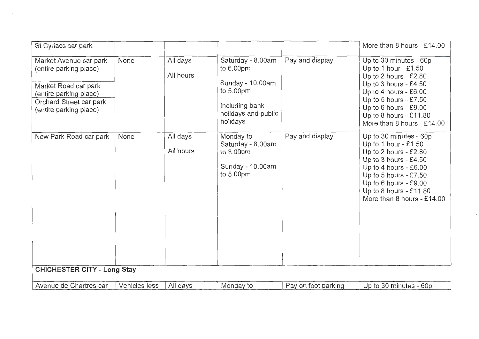| St Cyriacs car park                                                                                                                                     |               |                       |                                                                                                                      |                     | More than 8 hours - £14.00                                                                                                                                                                                                                |
|---------------------------------------------------------------------------------------------------------------------------------------------------------|---------------|-----------------------|----------------------------------------------------------------------------------------------------------------------|---------------------|-------------------------------------------------------------------------------------------------------------------------------------------------------------------------------------------------------------------------------------------|
| Market Avenue car park<br>(entire parking place)<br>Market Road car park<br>(entire parking place)<br>Orchard Street car park<br>(entire parking place) | None          | All days<br>All hours | Saturday - 8.00am<br>to 6.00pm<br>Sunday - 10.00am<br>to 5.00pm<br>Including bank<br>holidays and public<br>holidays | Pay and display     | Up to 30 minutes - 60p<br>Up to 1 hour $-$ £1.50<br>Up to 2 hours - £2.80<br>Up to 3 hours - $£4.50$<br>Up to 4 hours - £6.00<br>Up to 5 hours $-$ £7.50<br>Up to 6 hours - £9.00<br>Up to 8 hours - £11.80<br>More than 8 hours - £14.00 |
| New Park Road car park                                                                                                                                  | None          | All days<br>All hours | Monday to<br>Saturday - 8.00am<br>to 8.00pm<br>Sunday - 10.00am<br>to 5.00pm                                         | Pay and display     | Up to 30 minutes - 60p<br>Up to 1 hour - $£1.50$<br>Up to 2 hours - £2.80<br>Up to $3$ hours - £4.50<br>Up to 4 hours - £6.00<br>Up to 5 hours - $£7.50$<br>Up to 6 hours - £9.00<br>Up to 8 hours - £11.80<br>More than 8 hours - £14.00 |
| <b>CHICHESTER CITY - Long Stay</b>                                                                                                                      |               |                       |                                                                                                                      |                     |                                                                                                                                                                                                                                           |
| Avenue de Chartres car                                                                                                                                  | Vehicles less | All days              | Monday to                                                                                                            | Pay on foot parking | Up to 30 minutes - 60p                                                                                                                                                                                                                    |

 $\label{eq:1.1} \mathbf{v} = \mathbf{v} + \mathbf{v} + \mathbf{v} + \mathbf{v} + \mathbf{v} + \mathbf{v} + \mathbf{v} + \mathbf{v} + \mathbf{v} + \mathbf{v} + \mathbf{v} + \mathbf{v} + \mathbf{v} + \mathbf{v} + \mathbf{v} + \mathbf{v} + \mathbf{v} + \mathbf{v} + \mathbf{v} + \mathbf{v} + \mathbf{v} + \mathbf{v} + \mathbf{v} + \mathbf{v} + \mathbf{v} + \mathbf{v} + \mathbf{v} + \mathbf{v} + \mathbf{v} + \$ 

 $\mathcal{L}^{\text{max}}_{\text{max}}$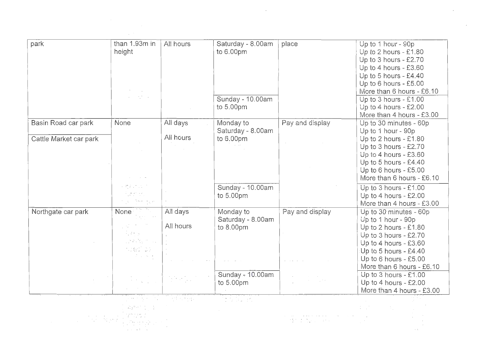| park                   | than 1.93m in     | All hours | Saturday - 8.00am   | place           | Up to 1 hour - 90p        |
|------------------------|-------------------|-----------|---------------------|-----------------|---------------------------|
|                        | height            |           | to 6.00pm           |                 | Up to 2 hours - $£1.80$   |
|                        |                   |           |                     |                 | Up to $3$ hours - £2.70   |
|                        |                   |           |                     |                 | Up to 4 hours - £3.60     |
|                        |                   |           |                     |                 | Up to 5 hours - £4.40     |
|                        |                   |           |                     |                 | Up to 6 hours - £5.00     |
|                        |                   |           |                     |                 | More than 6 hours - £6.10 |
|                        | $\sim 10^{11}$ km |           | Sunday - 10.00am    |                 | Up to 3 hours - £1.00     |
|                        |                   |           | to 5.00pm           |                 | Up to 4 hours - $£2.00$   |
|                        |                   |           |                     |                 | More than 4 hours - £3.00 |
| Basin Road car park    | None              | All days  | Monday to           | Pay and display | Up to 30 minutes - 60p    |
|                        |                   |           | Saturday - 8.00am   |                 | Up to 1 hour - 90p        |
| Cattle Market car park |                   | All hours | to 6.00pm           |                 | Up to 2 hours - £1.80     |
|                        |                   |           |                     |                 | Up to 3 hours - $£2.70$   |
|                        |                   |           |                     |                 | Up to 4 hours - £3.60     |
|                        |                   |           |                     |                 | Up to 5 hours - $£4.40$   |
|                        |                   |           |                     |                 | Up to 6 hours - £5.00     |
|                        |                   |           |                     |                 | More than 6 hours - £6.10 |
|                        |                   |           | Sunday - 10.00am    |                 | Up to 3 hours - £1.00     |
|                        |                   |           | to 5.00pm           |                 | Up to 4 hours - £2.00     |
|                        |                   |           |                     |                 | More than 4 hours - £3.00 |
| Northgate car park     | None              | All days  | Monday to           | Pay and display | Up to 30 minutes - 60p    |
|                        |                   |           | Saturday - 8.00am   |                 | Up to 1 hour - 90p        |
|                        |                   | All hours | to 8.00pm           |                 | Up to 2 hours - $£1.80$   |
|                        | <b>Burney</b>     |           |                     |                 | Up to 3 hours - £2.70     |
|                        | 小学 经合同            |           |                     |                 | Up to 4 hours - $£3.60$   |
|                        | ruski pr          |           |                     |                 | Up to 5 hours - £4.40     |
|                        | The County        |           |                     |                 | Up to 6 hours - £5.00     |
|                        |                   |           |                     |                 | More than 6 hours - £6.10 |
|                        |                   | in Nobel  | Sunday $-10.00$ am. |                 | Up to 3 hours - £1.00     |
|                        |                   |           | to 5.00pm           |                 | Up to 4 hours - £2.00     |
|                        |                   |           |                     |                 | More than 4 hours - £3.00 |
|                        | せいかいじ             | 计算 化内分散机  | the burst.          |                 |                           |
|                        |                   |           |                     |                 |                           |
|                        |                   |           |                     |                 |                           |
|                        |                   |           |                     | せいかたい しゃく       |                           |
|                        |                   |           |                     |                 |                           |

 $\mathcal{L}^{\mathcal{L}}(\mathcal{L}^{\mathcal{L}})$  and  $\mathcal{L}^{\mathcal{L}}(\mathcal{L}^{\mathcal{L}})$  .

 $\mathcal{L}(\mathcal{L})$  and  $\mathcal{L}(\mathcal{L})$  .

 $\frac{1}{2} \sum_{i=1}^{n} \frac{1}{2} \sum_{j=1}^{n} \frac{1}{2} \sum_{j=1}^{n} \frac{1}{2} \sum_{j=1}^{n} \frac{1}{2} \sum_{j=1}^{n} \frac{1}{2} \sum_{j=1}^{n} \frac{1}{2} \sum_{j=1}^{n} \frac{1}{2} \sum_{j=1}^{n} \frac{1}{2} \sum_{j=1}^{n} \frac{1}{2} \sum_{j=1}^{n} \frac{1}{2} \sum_{j=1}^{n} \frac{1}{2} \sum_{j=1}^{n} \frac{1}{2} \sum_{j=1}^{n$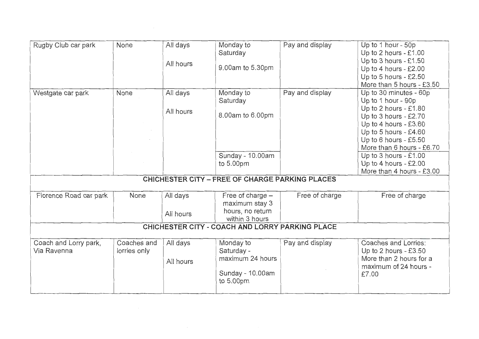| Rugby Club car park                  | None                        | All days<br>All hours | Monday to<br>Saturday<br>9.00am to 5.30pm                                               | Pay and display | Up to 1 hour - 50p<br>Up to 2 hours - £1.00<br>Up to 3 hours - £1.50<br>Up to 4 hours - £2.00<br>Up to 5 hours - £2.50<br>More than 5 hours - £3.50                                                      |
|--------------------------------------|-----------------------------|-----------------------|-----------------------------------------------------------------------------------------|-----------------|----------------------------------------------------------------------------------------------------------------------------------------------------------------------------------------------------------|
| Westgate car park                    | None                        | All days<br>All hours | Monday to<br>Saturday<br>8.00am to 6.00pm                                               | Pay and display | Up to 30 minutes - 60p<br>Up to 1 hour - 90p<br>Up to 2 hours - £1.80<br>Up to 3 hours - $£2.70$<br>Up to 4 hours - £3.60<br>Up to 5 hours - £4.60<br>Up to 6 hours - £5.50<br>More than 6 hours - £6.70 |
|                                      |                             |                       | Sunday - 10.00am<br>to 5.00pm<br><b>CHICHESTER CITY - FREE OF CHARGE PARKING PLACES</b> |                 | Up to 3 hours - £1.00<br>Up to 4 hours - £2.00<br>More than 4 hours - £3.00                                                                                                                              |
|                                      |                             |                       |                                                                                         |                 |                                                                                                                                                                                                          |
| Florence Road car park               | None                        | All days<br>All hours | Free of charge -<br>maximum stay 3<br>hours, no return<br>within 3 hours                | Free of charge  | Free of charge                                                                                                                                                                                           |
|                                      |                             |                       | CHICHESTER CITY - COACH AND LORRY PARKING PLACE                                         |                 |                                                                                                                                                                                                          |
| Coach and Lorry park,<br>Via Ravenna | Coaches and<br>lorries only | All days<br>All hours | Monday to<br>Saturday -<br>maximum 24 hours<br>Sunday - 10.00am<br>to 5.00pm            | Pay and display | Coaches and Lorries:<br>Up to 2 hours - $£3.50$<br>More than 2 hours for a<br>maximum of 24 hours -<br>£7.00                                                                                             |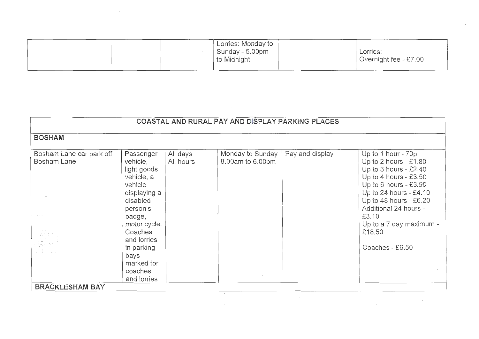| Lorries: Monday to                |                                   |
|-----------------------------------|-----------------------------------|
| Sunday - $5.00$ pm<br>to Midnight | Lorries:<br>Overnight fee - £7.00 |
|                                   |                                   |

 $\sim 10^{-1}$ 

 $\mathcal{A}^{\pm}$ 

| COASTAL AND RURAL PAY AND DISPLAY PARKING PLACES |                                                                                                                                                                                                                         |                       |                                      |                 |                                                                                                                                                                                                                                                                        |  |
|--------------------------------------------------|-------------------------------------------------------------------------------------------------------------------------------------------------------------------------------------------------------------------------|-----------------------|--------------------------------------|-----------------|------------------------------------------------------------------------------------------------------------------------------------------------------------------------------------------------------------------------------------------------------------------------|--|
|                                                  |                                                                                                                                                                                                                         |                       |                                      |                 |                                                                                                                                                                                                                                                                        |  |
| <b>BOSHAM</b>                                    |                                                                                                                                                                                                                         |                       |                                      |                 |                                                                                                                                                                                                                                                                        |  |
|                                                  |                                                                                                                                                                                                                         |                       |                                      |                 |                                                                                                                                                                                                                                                                        |  |
| Bosham Lane car park off<br><b>Bosham Lane</b>   | Passenger<br>vehicle,<br>light goods<br>vehicle, a<br>vehicle<br>displaying a<br>disabled<br>person's<br>badge,<br>motor cycle.<br>Coaches<br>and lorries<br>in parking<br>bays<br>marked for<br>coaches<br>and lorries | All days<br>All hours | Monday to Sunday<br>8.00am to 6.00pm | Pay and display | Up to 1 hour - 70p<br>Up to 2 hours - £1.80<br>Up to 3 hours - $£2.40$<br>Up to 4 hours - £3.50<br>Up to 6 hours - £3.90<br>Up to 24 hours - £4.10<br>Up to 48 hours - £6.20<br>Additional 24 hours -<br>£3.10<br>Up to a 7 day maximum -<br>£18.50<br>Coaches - £6.50 |  |
| <b>BRACKLESHAM BAY</b>                           |                                                                                                                                                                                                                         |                       |                                      |                 |                                                                                                                                                                                                                                                                        |  |

 $\sim 10^{-11}$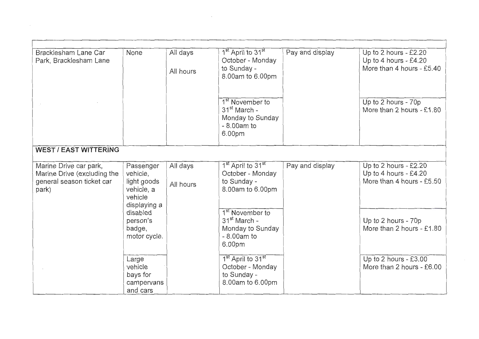| Bracklesham Lane Car<br>Park, Bracklesham Lane                                              | None                                                           | All days<br>All hours | 1 <sup>st</sup> April to 31 <sup>st</sup><br>October - Monday<br>to Sunday -<br>8.00am to 6.00pm      | Pay and display | Up to 2 hours - $£2.20$<br>Up to 4 hours - £4.20<br>More than 4 hours - £5.40 |
|---------------------------------------------------------------------------------------------|----------------------------------------------------------------|-----------------------|-------------------------------------------------------------------------------------------------------|-----------------|-------------------------------------------------------------------------------|
|                                                                                             |                                                                |                       | 1 <sup>st</sup> November to<br>31 <sup>st</sup> March -<br>Monday to Sunday<br>$-8.00am$ to<br>6.00pm |                 | Up to 2 hours - 70p<br>More than 2 hours - £1.80                              |
| <b>WEST / EAST WITTERING</b>                                                                |                                                                |                       |                                                                                                       |                 |                                                                               |
| Marine Drive car park,<br>Marine Drive (excluding the<br>general season ticket car<br>park) | Passenger<br>vehicle,<br>light goods<br>vehicle, a<br>vehicle  | All days<br>All hours | 1 <sup>st</sup> April to 31 <sup>st</sup><br>October - Monday<br>to Sunday -<br>8.00am to 6.00pm      | Pay and display | Up to 2 hours - $£2.20$<br>Up to 4 hours - £4.20<br>More than 4 hours - £5.50 |
|                                                                                             | displaying a<br>disabled<br>person's<br>badge,<br>motor cycle. |                       | 1 <sup>st</sup> November to<br>$31st$ March -<br>Monday to Sunday<br>$-8.00am$ to<br>6.00pm           |                 | Up to 2 hours - 70p<br>More than 2 hours - £1.80                              |
|                                                                                             | Large<br>vehicle<br>bays for<br>campervans<br>and cars         |                       | 1 <sup>st</sup> April to 31 <sup>st</sup><br>October - Monday<br>to Sunday -<br>8.00am to 6.00pm      |                 | Up to 2 hours - $£3.00$<br>More than 2 hours - £6.00                          |

 $\mathcal{L}(\mathcal{L}^{\mathcal{L}})$  and  $\mathcal{L}(\mathcal{L}^{\mathcal{L}})$  . The contribution of  $\mathcal{L}^{\mathcal{L}}$ 

 $\mathcal{L}_{\text{max}}$  and  $\mathcal{L}_{\text{max}}$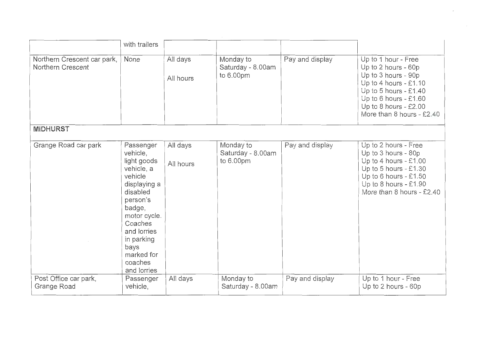|                                                  | with trailers                                                                                                                                                                                                           |                       |                                             |                 |                                                                                                                                                                                                    |
|--------------------------------------------------|-------------------------------------------------------------------------------------------------------------------------------------------------------------------------------------------------------------------------|-----------------------|---------------------------------------------|-----------------|----------------------------------------------------------------------------------------------------------------------------------------------------------------------------------------------------|
| Northern Crescent car park,<br>Northern Crescent | None                                                                                                                                                                                                                    | All days<br>All hours | Monday to<br>Saturday - 8.00am<br>to 6.00pm | Pay and display | Up to 1 hour - Free<br>Up to 2 hours - 60p<br>Up to 3 hours - 90p<br>Up to 4 hours - £1.10<br>Up to 5 hours - £1.40<br>Up to 6 hours - £1.60<br>Up to 8 hours - £2.00<br>More than 8 hours - £2.40 |
| <b>MIDHURST</b>                                  |                                                                                                                                                                                                                         |                       |                                             |                 |                                                                                                                                                                                                    |
| Grange Road car park                             | Passenger<br>vehicle,<br>light goods<br>vehicle, a<br>vehicle<br>displaying a<br>disabled<br>person's<br>badge,<br>motor cycle.<br>Coaches<br>and lorries<br>in parking<br>bays<br>marked for<br>coaches<br>and lorries | All days<br>All hours | Monday to<br>Saturday - 8.00am<br>to 6.00pm | Pay and display | Up to 2 hours - Free<br>Up to 3 hours - 80p<br>Up to 4 hours - £1.00<br>Up to 5 hours - $£1.30$<br>Up to 6 hours - £1.50<br>Up to 8 hours - £1.90<br>More than 8 hours - £2.40                     |
| Post Office car park,<br>Grange Road             | Passenger<br>vehicle,                                                                                                                                                                                                   | All days              | Monday to<br>Saturday - 8.00am              | Pay and display | Up to 1 hour - Free<br>Up to 2 hours - 60p                                                                                                                                                         |

 $\mathcal{L}(\mathcal{L})$  and  $\mathcal{L}(\mathcal{L})$  . The set of  $\mathcal{L}(\mathcal{L})$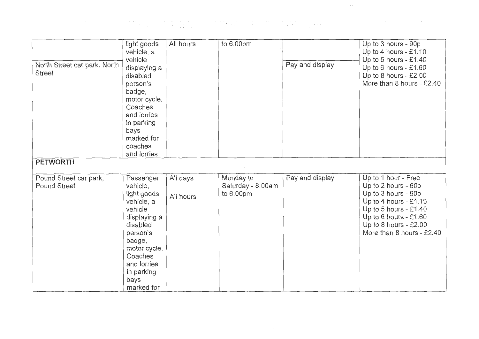| North Street car park, North<br><b>Street</b><br><b>PETWORTH</b> | light goods<br>vehicle, a<br>vehicle<br>displaying a<br>disabled<br>person's<br>badge,<br>motor cycle.<br>Coaches<br>and lorries<br>in parking<br>bays<br>marked for<br>coaches<br>and lorries | All hours             | to 6.00pm                                   | Pay and display | Up to 3 hours - 90p<br>Up to 4 hours - £1.10<br>Up to 5 hours - $£1.40$<br>Up to 6 hours - £1.60<br>Up to 8 hours - $£2.00$<br>More than 8 hours - £2.40                                               |
|------------------------------------------------------------------|------------------------------------------------------------------------------------------------------------------------------------------------------------------------------------------------|-----------------------|---------------------------------------------|-----------------|--------------------------------------------------------------------------------------------------------------------------------------------------------------------------------------------------------|
| Pound Street car park,<br>Pound Street                           | Passenger<br>vehicle,<br>light goods<br>vehicle, a<br>vehicle<br>displaying a<br>disabled<br>person's<br>badge,<br>motor cycle.<br>Coaches<br>and lorries<br>in parking<br>bays<br>marked for  | All days<br>All hours | Monday to<br>Saturday - 8.00am<br>to 6.00pm | Pay and display | Up to 1 hour - Free<br>Up to 2 hours - 60p<br>Up to 3 hours - 90p<br>Up to 4 hours - £1.10<br>Up to 5 hours - $£1.40$<br>Up to 6 hours - £1.60<br>Up to 8 hours - $£2.00$<br>More than 8 hours - £2.40 |

 $\sim 10^{11}$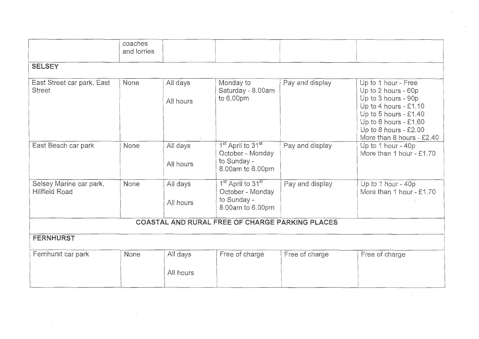|                                                  | coaches<br>and lorries |                       |                                                                                                  |                 |                                                                                                                                                                                                          |
|--------------------------------------------------|------------------------|-----------------------|--------------------------------------------------------------------------------------------------|-----------------|----------------------------------------------------------------------------------------------------------------------------------------------------------------------------------------------------------|
| <b>SELSEY</b>                                    |                        |                       |                                                                                                  |                 |                                                                                                                                                                                                          |
| East Street car park, East<br><b>Street</b>      | None                   | All days<br>All hours | Monday to<br>Saturday - 8.00am<br>to 6.00pm                                                      | Pay and display | Up to 1 hour - Free<br>Up to 2 hours - 60p<br>Up to 3 hours - 90p<br>Up to 4 hours $-$ £1.10<br>Up to 5 hours - $£1.40$<br>Up to 6 hours - £1.60<br>Up to 8 hours - $£2.00$<br>More than 8 hours - £2.40 |
| East Beach car park                              | None                   | All days<br>All hours | 1 <sup>st</sup> April to 31 <sup>st</sup><br>October - Monday<br>to Sunday -<br>8.00am tc 6.00pm | Pay and display | Up to 1 hour - 40p<br>More than 1 hour - £1.70                                                                                                                                                           |
| Selsey Marine car park,<br><b>Hillfield Road</b> | None                   | All days<br>All hours | 1 <sup>st</sup> April to 31 <sup>st</sup><br>October - Monday<br>to Sunday -<br>8.00am to 6.00pm | Pay and display | Up to 1 hour - 40p<br>More than 1 hour - £1.70                                                                                                                                                           |
|                                                  |                        |                       | COASTAL AND RURAL FREE OF CHARGE PARKING PLACES                                                  |                 |                                                                                                                                                                                                          |
| <b>FERNHURST</b>                                 |                        |                       |                                                                                                  |                 |                                                                                                                                                                                                          |
| Fernhurst car park                               | None                   | All days              | Free of charge                                                                                   | Free of charge  | Free of charge                                                                                                                                                                                           |
|                                                  |                        | All hours             |                                                                                                  |                 |                                                                                                                                                                                                          |

 $\sim 10^{11}$  m  $^{-1}$ 

 $\sim$ 

 $\sim 10^{-11}$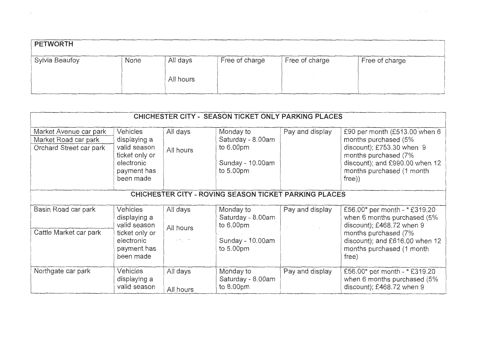| <b>PETWORTH</b> |      |                       |                |                |                |
|-----------------|------|-----------------------|----------------|----------------|----------------|
| Sylvia Beaufoy  | None | All days<br>All hours | Free of charge | Free of charge | Free of charge |

 $\label{eq:2.1} \mathcal{A} = \mathcal{A} \otimes \mathcal{A} \otimes \mathcal{A} \otimes \mathcal{A} \otimes \mathcal{A}$ 

 $\mathcal{L}^{\mathcal{L}}(\mathcal{L}^{\mathcal{L}}(\mathcal{L}^{\mathcal{L}}))$  and  $\mathcal{L}^{\mathcal{L}}(\mathcal{L}^{\mathcal{L}}(\mathcal{L}^{\mathcal{L}}))$ 

| CHICHESTER CITY - SEASON TICKET ONLY PARKING PLACES                       |                                                                                                      |                                                               |                                                                                |                                                                                |                                                                                                                                                                                            |  |  |  |
|---------------------------------------------------------------------------|------------------------------------------------------------------------------------------------------|---------------------------------------------------------------|--------------------------------------------------------------------------------|--------------------------------------------------------------------------------|--------------------------------------------------------------------------------------------------------------------------------------------------------------------------------------------|--|--|--|
| Market Avenue car park<br>Market Road car park<br>Orchard Street car park | Vehicles<br>displaying a<br>valid season<br>ticket only or<br>electronic<br>payment has<br>been made | All days<br>All hours                                         | Monday to<br>Saturday - 8.00am<br>to 6.00pm<br>Sunday - 10.00am<br>to 5.00pm   | Pay and display                                                                | £90 per month (£513.00 when 6<br>months purchased (5%<br>discount); $£753.30$ when $9$<br>months purchased (7%<br>discount); and £990.00 when 12<br>months purchased (1 month<br>$free)$ ) |  |  |  |
|                                                                           | CHICHESTER CITY - ROVING SEASON TICKET PARKING PLACES                                                |                                                               |                                                                                |                                                                                |                                                                                                                                                                                            |  |  |  |
| Basin Road car park<br>Cattle Market car park                             | Vehicles<br>displaying a<br>valid season<br>ticket only or<br>electronic<br>payment has<br>been made | All days<br>All hours<br>$\sim$ $\times$ $\sim$ $\sim$ $\sim$ | Monday to<br>Saturday - 8.00am<br>to $6.00pm$<br>Sunday - 10.00am<br>to 5.00pm | Pay and display<br>$\mathcal{F}_1$ , and $\mathcal{F}_2$ , and $\mathcal{F}_3$ | £56.00* per month - * £319.20<br>when 6 months purchased (5%<br>discount); £468.72 when 9<br>months purchased (7%<br>discount); and £616.00 when 12<br>months purchased (1 month<br>free)  |  |  |  |
| Northgate car park                                                        | Vehicles<br>displaying a<br>valid season                                                             | All days<br>All hours                                         | Monday to<br>Saturday - 8.00am<br>to 8.00pm                                    | Pay and display                                                                | £56.00* per month - * £319.20<br>when 6 months purchased (5%<br>discount); £468.72 when 9                                                                                                  |  |  |  |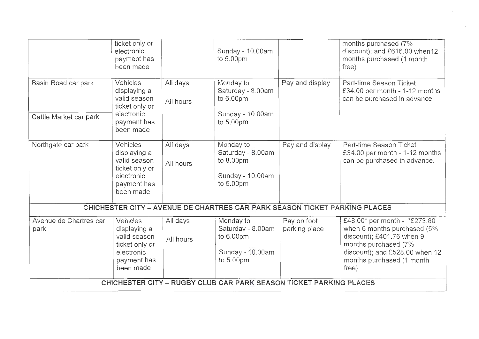|                                                                            | ticket only or<br>electronic<br>payment has<br>been made                                             |                       | Sunday - 10.00am<br>to 5.00pm                                                   |                              | months purchased (7%<br>discount); and £616.00 when12<br>months purchased (1 month<br>free)                                                                                              |  |
|----------------------------------------------------------------------------|------------------------------------------------------------------------------------------------------|-----------------------|---------------------------------------------------------------------------------|------------------------------|------------------------------------------------------------------------------------------------------------------------------------------------------------------------------------------|--|
| Basin Road car park<br>Cattle Market car park                              | Vehicles<br>displaying a<br>valid season<br>ticket only or<br>electronic<br>payment has<br>been made | All days<br>All hours | Monday to<br>Saturday - 8.00am<br>to 6.00pm<br>Sunday - 10.00am<br>to 5.00pm    | Pay and display              | Part-time Season Ticket<br>£34.00 per month - 1-12 months<br>can be purchased in advance.                                                                                                |  |
| Northgate car park                                                         | Vehicles<br>displaying a<br>valid season<br>ticket only or<br>electronic<br>payment has<br>been made | All days<br>All hours | Monday to<br>Saturday - 8.00am<br>to 8.00pm<br>Sunday - 10.00am<br>to 5.00pm    | Pay and display              | Part-time Season Ticket<br>£34.00 per month - 1-12 months<br>can be purchased in advance.                                                                                                |  |
| CHICHESTER CITY - AVENUE DE CHARTRES CAR PARK SEASON TICKET PARKING PLACES |                                                                                                      |                       |                                                                                 |                              |                                                                                                                                                                                          |  |
| Avenue de Chartres car<br>park                                             | Vehicles<br>displaying a<br>valid season<br>ticket only or<br>electronic<br>payment has<br>been made | All days<br>All hours | Monday to<br>Saturday - 8.00am<br>to 6.00pm<br>Sunday - $10.00$ am<br>to 5.00pm | Pay on foot<br>parking place | £48.00* per month - *£273.60<br>when 6 months purchased (5%<br>discount); £401.76 when 9<br>months purchased (7%<br>discount); and £528.00 when 12<br>months purchased (1 month<br>free) |  |
| CHICHESTER CITY - RUGBY CLUB CAR PARK SEASON TICKET PARKING PLACES         |                                                                                                      |                       |                                                                                 |                              |                                                                                                                                                                                          |  |

 $\sim$ 

 $\sim 10^{-10}$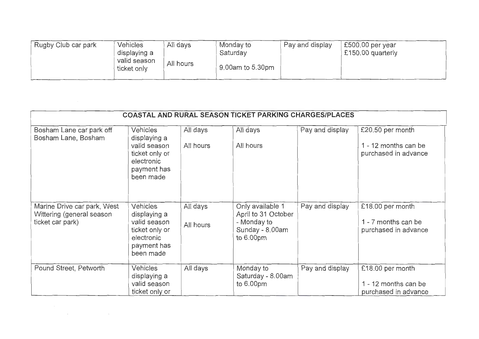| Rugby Club car park | <b>Vehicles</b><br>displaying a | All days  | Monday to<br>Saturday | Pay and display | $£500.00$ per year<br>£150.00 quarterly |
|---------------------|---------------------------------|-----------|-----------------------|-----------------|-----------------------------------------|
|                     | valid season<br>ticket only     | All hours | 9.00am to 5.30pm      |                 |                                         |

| <b>COASTAL AND RURAL SEASON TICKET PARKING CHARGES/PLACES</b>                |                                                                                                             |                       |                                                                                          |                 |                                                                  |  |
|------------------------------------------------------------------------------|-------------------------------------------------------------------------------------------------------------|-----------------------|------------------------------------------------------------------------------------------|-----------------|------------------------------------------------------------------|--|
| Bosham Lane car park off<br>Bosham Lane, Bosham                              | <b>Vehicles</b><br>displaying a<br>valid season<br>ticket only or<br>electronic<br>payment has<br>been made | All days<br>All hours | All days<br>All hours                                                                    | Pay and display | £20.50 per month<br>1 - 12 months can be<br>purchased in advance |  |
| Marine Drive car park, West<br>Wittering (general season<br>ticket car park) | <b>Vehicles</b><br>displaying a<br>valid season<br>ticket only or<br>electronic<br>payment has<br>been made | All days<br>All hours | Only available 1<br>April to 31 October<br>- Monday to<br>Sunday - 8.00am<br>to $6.00pm$ | Pay and display | £18.00 per month<br>1 - 7 months can be<br>purchased in advance  |  |
| Pound Street, Petworth                                                       | Vehicles<br>displaying a<br>valid season<br>ticket only or                                                  | All days              | Monday to<br>Saturday - 8.00am<br>to 6.00pm                                              | Pay and display | £18.00 per month<br>1 - 12 months can be<br>purchased in advance |  |

 $\mathcal{L}(\mathcal{L}(\mathcal{L}))$  and  $\mathcal{L}(\mathcal{L}(\mathcal{L}))$  . The contribution of the contribution of the contribution of the contribution of the contribution of the contribution of the contribution of the contribution of the contribut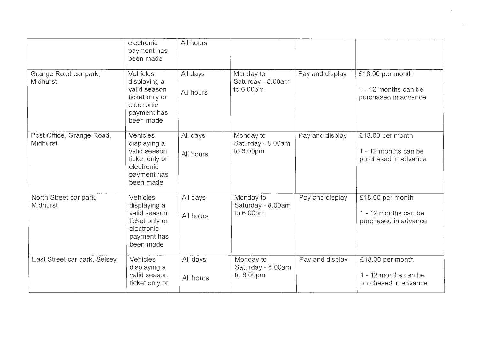|                                           | electronic<br>payment has<br>been made                                                               | All hours             |                                             |                 |                                                                  |
|-------------------------------------------|------------------------------------------------------------------------------------------------------|-----------------------|---------------------------------------------|-----------------|------------------------------------------------------------------|
| Grange Road car park,<br><b>Midhurst</b>  | Vehicles<br>displaying a<br>valid season<br>ticket only or<br>electronic<br>payment has<br>been made | All days<br>All hours | Monday to<br>Saturday - 8.00am<br>to 6.00pm | Pay and display | £18.00 per month<br>1 - 12 months can be<br>purchased in advance |
| Post Office, Grange Road,<br>Midhurst     | Vehicles<br>displaying a<br>valid season<br>ticket only or<br>electronic<br>payment has<br>been made | All days<br>All hours | Monday to<br>Saturday - 8.00am<br>to 6.00pm | Pay and display | £18.00 per month<br>1 - 12 months can be<br>purchased in advance |
| North Street car park,<br><b>Midhurst</b> | Vehicles<br>displaying a<br>valid season<br>ticket only or<br>electronic<br>payment has<br>been made | All days<br>All hours | Monday to<br>Saturday - 8.00am<br>to 6.00pm | Pay and display | £18.00 per month<br>1 - 12 months can be<br>purchased in advance |
| East Street car park, Selsey              | Vehicles<br>displaying a<br>valid season<br>ticket only or                                           | All days<br>All hours | Monday to<br>Saturday - 8.00am<br>to 6.00pm | Pay and display | £18.00 per month<br>1 - 12 months can be<br>purchased in advance |

 $\mathbf{r}$ 

 $\mathcal{A}^{\text{max}}_{\text{max}}$